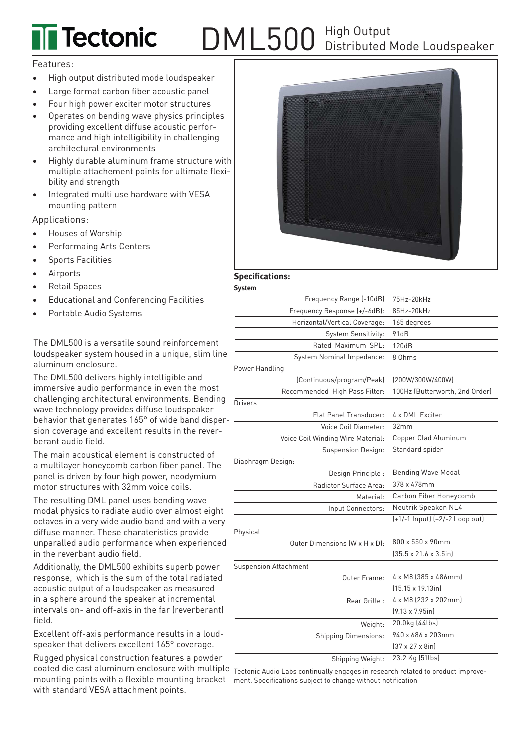# DML500 High Output **Tectonic** Distributed Mode Loudspeaker

### Features:

- High output distributed mode loudspeaker
- Large format carbon fiber acoustic panel
- Four high power exciter motor structures
- Operates on bending wave physics principles providing excellent diffuse acoustic performance and high intelligibility in challenging architectural environments
- Highly durable aluminum frame structure with multiple attachement points for ultimate flexibility and strength
- Integrated multi use hardware with VESA mounting pattern

Applications:

- Houses of Worship
- Performaing Arts Centers
- Sports Facilities
- **Airports**
- Retail Spaces
- Educational and Conferencing Facilities
- Portable Audio Systems

The DML500 is a versatile sound reinforcement loudspeaker system housed in a unique, slim line aluminum enclosure.

The DML500 delivers highly intelligible and immersive audio performance in even the most challenging architectural environments. Bending wave technology provides diffuse loudspeaker behavior that generates 165° of wide band dispersion coverage and excellent results in the reverberant audio field.

The main acoustical element is constructed of a multilayer honeycomb carbon fiber panel. The panel is driven by four high power, neodymium motor structures with 32mm voice coils.

The resulting DML panel uses bending wave modal physics to radiate audio over almost eight octaves in a very wide audio band and with a very diffuse manner. These charateristics provide unparalled audio performance when experienced in the reverbant audio field.

Additionally, the DML500 exhibits superb power response, which is the sum of the total radiated acoustic output of a loudspeaker as measured in a sphere around the speaker at incremental intervals on- and off-axis in the far (reverberant) field.

Excellent off-axis performance results in a loudspeaker that delivers excellent 165° coverage.

Rugged physical construction features a powder coated die cast aluminum enclosure with multiple mounting points with a flexible mounting bracket ment. Specifications subject to change without notificationwith standard VESA attachment points.



## **Specifications:**

**System**

| Frequency Range (-10dB)           | 75Hz-20kHz                         |
|-----------------------------------|------------------------------------|
| Frequency Response (+/-6dB):      | 85Hz-20kHz                         |
| Horizontal/Vertical Coverage:     | 165 degrees                        |
| System Sensitivity:               | 91dB                               |
| Rated Maximum SPL:                | 120dB                              |
| System Nominal Impedance:         | 8 Ohms                             |
| Power Handling                    |                                    |
| (Continuous/program/Peak)         | (200W/300W/400W)                   |
| Recommended High Pass Filter:     | 100Hz (Butterworth, 2nd Order)     |
| Drivers                           |                                    |
| Flat Panel Transducer:            | 4 x DML Exciter                    |
| Voice Coil Diameter:              | 32mm                               |
| Voice Coil Winding Wire Material: | Copper Clad Aluminum               |
| <b>Suspension Design:</b>         | Standard spider                    |
| Diaphragm Design:                 |                                    |
| Design Principle :                | <b>Bending Wave Modal</b>          |
| Radiator Surface Area:            | 378 x 478mm                        |
| Material:                         | Carbon Fiber Honeycomb             |
| Input Connectors:                 | Neutrik Speakon NL4                |
|                                   | (+1/-1 Input) (+2/-2 Loop out)     |
| Physical                          |                                    |
| Outer Dimensions (W x H x D):     | 800 x 550 x 90mm                   |
|                                   | $[35.5 \times 21.6 \times 3.5]$ in |
| <b>Suspension Attachment</b>      |                                    |
| Outer Frame:                      | 4 x M8 (385 x 486mm)               |
|                                   | $(15.15 \times 19.13)$ in          |
| Rear Grille:                      | 4 x M8 (232 x 202mm)               |
|                                   | $(9.13 \times 7.95)$ in]           |
| Weight:                           | 20.0kg (44lbs)                     |
| <b>Shipping Dimensions:</b>       | 940 x 686 x 203mm                  |
|                                   | $(37 \times 27 \times 8)$ in       |
| Shipping Weight:                  | 23.2 Kg (51lbs)                    |

Tectonic Audio Labs continually engages in research related to product improve-